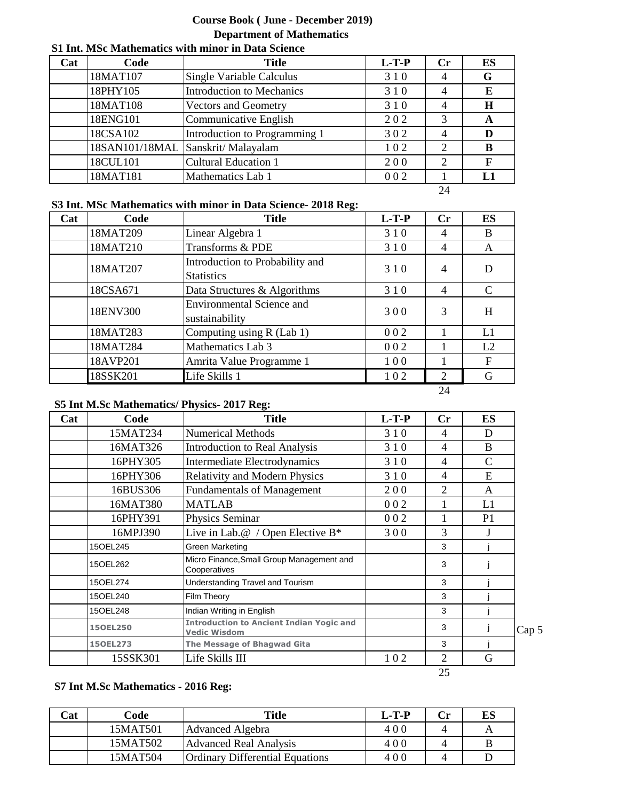## **Course Book ( June - December 2019) Department of Mathematics**

### **S1 Int. MSc Mathematics with minor in Data Science**

| Cat | Code     | <b>Title</b>                       | $L-T-P$ | Cr             | ES |
|-----|----------|------------------------------------|---------|----------------|----|
|     | 18MAT107 | Single Variable Calculus           | 310     | 4              | G  |
|     | 18PHY105 | <b>Introduction to Mechanics</b>   | 310     | 4              | E  |
|     | 18MAT108 | Vectors and Geometry               | 310     | 4              | H  |
|     | 18ENG101 | Communicative English              | 202     | 3              | A  |
|     | 18CSA102 | Introduction to Programming 1      | 302     | 4              |    |
|     |          | 18SAN101/18MAL Sanskrit/ Malayalam | 102     | 2              | в  |
|     | 18CUL101 | <b>Cultural Education 1</b>        | 200     | $\overline{2}$ |    |
|     | 18MAT181 | Mathematics Lab 1                  | 002     |                |    |

24

### **S3 Int. MSc Mathematics with minor in Data Science- 2018 Reg:**

| Cat | Code     | <b>Title</b>                                         | $L-T-P$ | Cr             | ES            |
|-----|----------|------------------------------------------------------|---------|----------------|---------------|
|     | 18MAT209 | Linear Algebra 1                                     | 310     | 4              | B             |
|     | 18MAT210 | Transforms & PDE                                     | 310     | $\overline{4}$ | A             |
|     | 18MAT207 | Introduction to Probability and<br><b>Statistics</b> | 310     | $\overline{4}$ | D             |
|     | 18CSA671 | Data Structures & Algorithms                         | 310     | $\overline{4}$ | $\mathcal{C}$ |
|     | 18ENV300 | <b>Environmental Science and</b><br>sustainability   | 300     | 3              | H             |
|     | 18MAT283 | Computing using R (Lab 1)                            | 002     |                | L1            |
|     | 18MAT284 | Mathematics Lab 3                                    | 002     |                | L2            |
|     | 18AVP201 | Amrita Value Programme 1                             | 100     |                | $\mathbf F$   |
|     | 18SSK201 | Life Skills 1                                        | 102     | 2              | G             |
|     |          |                                                      |         | 24             |               |

#### **S5 Int M.Sc Mathematics/ Physics- 2017 Reg:**

| Cat | Code     | <b>Title</b>                                                           | $L-T-P$ | Cr | <b>ES</b>      |       |
|-----|----------|------------------------------------------------------------------------|---------|----|----------------|-------|
|     | 15MAT234 | <b>Numerical Methods</b>                                               | 310     | 4  | D              |       |
|     | 16MAT326 | <b>Introduction to Real Analysis</b>                                   | 310     | 4  | B              |       |
|     | 16PHY305 | <b>Intermediate Electrodynamics</b>                                    | 310     | 4  | C              |       |
|     | 16PHY306 | <b>Relativity and Modern Physics</b>                                   | 310     | 4  | E              |       |
|     | 16BUS306 | <b>Fundamentals of Management</b>                                      | 200     | 2  | A              |       |
|     | 16MAT380 | <b>MATLAB</b>                                                          | 002     |    | L1             |       |
|     | 16PHY391 | Physics Seminar                                                        | 002     |    | P <sub>1</sub> |       |
|     | 16MPJ390 | Live in Lab. $@$ / Open Elective B <sup>*</sup>                        | 300     | 3  | J              |       |
|     | 15OEL245 | Green Marketing                                                        |         | 3  |                |       |
|     | 15OEL262 | Micro Finance, Small Group Management and<br>Cooperatives              |         | 3  |                |       |
|     | 150EL274 | Understanding Travel and Tourism                                       |         | 3  |                |       |
|     | 15OEL240 | Film Theory                                                            |         | 3  |                |       |
|     | 15OEL248 | Indian Writing in English                                              |         | 3  |                |       |
|     | 150EL250 | <b>Introduction to Ancient Indian Yogic and</b><br><b>Vedic Wisdom</b> |         | 3  |                | Cap 5 |
|     | 150EL273 | The Message of Bhagwad Gita                                            |         | 3  |                |       |
|     | 15SSK301 | Life Skills III                                                        | 102     | 2  | G              |       |
|     |          |                                                                        |         | 25 |                |       |

### **S7 Int M.Sc Mathematics - 2016 Reg:**

| Cat | Code     | Title                                  | $L-T-P$ | Cr | ES |
|-----|----------|----------------------------------------|---------|----|----|
|     | 15MAT501 | Advanced Algebra                       | 400     |    |    |
|     | 15MAT502 | Advanced Real Analysis                 | 400     |    |    |
|     | 15MAT504 | <b>Ordinary Differential Equations</b> | 400     |    |    |